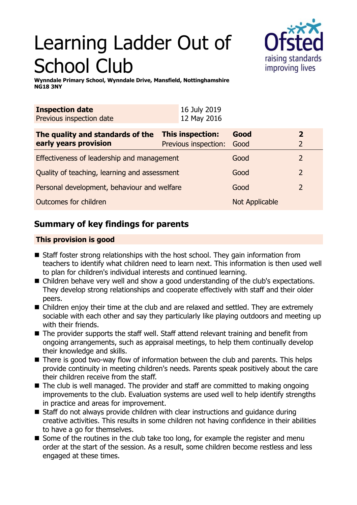# Learning Ladder Out of School Club



**Wynndale Primary School, Wynndale Drive, Mansfield, Nottinghamshire NG18 3NY**

| <b>Inspection date</b>   | 16 July 2019 |
|--------------------------|--------------|
| Previous inspection date | 12 May 2016  |
|                          |              |

| The quality and standards of the             | <b>This inspection:</b>   | Good           | 2             |
|----------------------------------------------|---------------------------|----------------|---------------|
| early years provision                        | Previous inspection: Good |                |               |
| Effectiveness of leadership and management   |                           | Good           | $\mathcal{L}$ |
| Quality of teaching, learning and assessment |                           | Good           | $\mathcal{P}$ |
| Personal development, behaviour and welfare  |                           | Good           | $\mathcal{P}$ |
| Outcomes for children                        |                           | Not Applicable |               |

# **Summary of key findings for parents**

## **This provision is good**

- $\blacksquare$  Staff foster strong relationships with the host school. They gain information from teachers to identify what children need to learn next. This information is then used well to plan for children's individual interests and continued learning.
- Children behave very well and show a good understanding of the club's expectations. They develop strong relationships and cooperate effectively with staff and their older peers.
- Children enjoy their time at the club and are relaxed and settled. They are extremely sociable with each other and say they particularly like playing outdoors and meeting up with their friends.
- $\blacksquare$  The provider supports the staff well. Staff attend relevant training and benefit from ongoing arrangements, such as appraisal meetings, to help them continually develop their knowledge and skills.
- $\blacksquare$  There is good two-way flow of information between the club and parents. This helps provide continuity in meeting children's needs. Parents speak positively about the care their children receive from the staff.
- $\blacksquare$  The club is well managed. The provider and staff are committed to making ongoing improvements to the club. Evaluation systems are used well to help identify strengths in practice and areas for improvement.
- $\blacksquare$  Staff do not always provide children with clear instructions and guidance during creative activities. This results in some children not having confidence in their abilities to have a go for themselves.
- $\blacksquare$  Some of the routines in the club take too long, for example the register and menu order at the start of the session. As a result, some children become restless and less engaged at these times.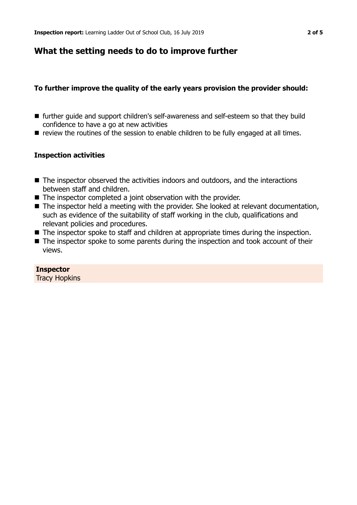# **What the setting needs to do to improve further**

#### **To further improve the quality of the early years provision the provider should:**

- further quide and support children's self-awareness and self-esteem so that they build confidence to have a go at new activities
- **n** review the routines of the session to enable children to be fully engaged at all times.

#### **Inspection activities**

- $\blacksquare$  The inspector observed the activities indoors and outdoors, and the interactions between staff and children.
- $\blacksquare$  The inspector completed a joint observation with the provider.
- The inspector held a meeting with the provider. She looked at relevant documentation, such as evidence of the suitability of staff working in the club, qualifications and relevant policies and procedures.
- $\blacksquare$  The inspector spoke to staff and children at appropriate times during the inspection.
- $\blacksquare$  The inspector spoke to some parents during the inspection and took account of their views.

#### **Inspector** Tracy Hopkins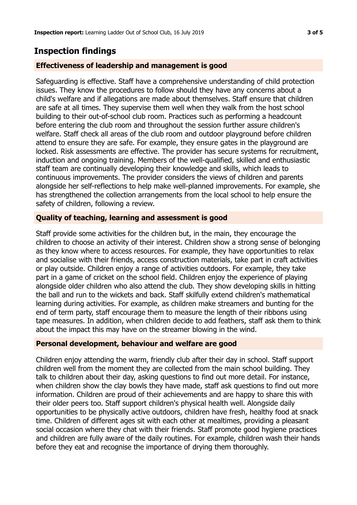# **Inspection findings**

## **Effectiveness of leadership and management is good**

Safeguarding is effective. Staff have a comprehensive understanding of child protection issues. They know the procedures to follow should they have any concerns about a child's welfare and if allegations are made about themselves. Staff ensure that children are safe at all times. They supervise them well when they walk from the host school building to their out-of-school club room. Practices such as performing a headcount before entering the club room and throughout the session further assure children's welfare. Staff check all areas of the club room and outdoor playground before children attend to ensure they are safe. For example, they ensure gates in the playground are locked. Risk assessments are effective. The provider has secure systems for recruitment, induction and ongoing training. Members of the well-qualified, skilled and enthusiastic staff team are continually developing their knowledge and skills, which leads to continuous improvements. The provider considers the views of children and parents alongside her self-reflections to help make well-planned improvements. For example, she has strengthened the collection arrangements from the local school to help ensure the safety of children, following a review.

## **Quality of teaching, learning and assessment is good**

Staff provide some activities for the children but, in the main, they encourage the children to choose an activity of their interest. Children show a strong sense of belonging as they know where to access resources. For example, they have opportunities to relax and socialise with their friends, access construction materials, take part in craft activities or play outside. Children enjoy a range of activities outdoors. For example, they take part in a game of cricket on the school field. Children enjoy the experience of playing alongside older children who also attend the club. They show developing skills in hitting the ball and run to the wickets and back. Staff skilfully extend children's mathematical learning during activities. For example, as children make streamers and bunting for the end of term party, staff encourage them to measure the length of their ribbons using tape measures. In addition, when children decide to add feathers, staff ask them to think about the impact this may have on the streamer blowing in the wind.

### **Personal development, behaviour and welfare are good**

Children enjoy attending the warm, friendly club after their day in school. Staff support children well from the moment they are collected from the main school building. They talk to children about their day, asking questions to find out more detail. For instance, when children show the clay bowls they have made, staff ask questions to find out more information. Children are proud of their achievements and are happy to share this with their older peers too. Staff support children's physical health well. Alongside daily opportunities to be physically active outdoors, children have fresh, healthy food at snack time. Children of different ages sit with each other at mealtimes, providing a pleasant social occasion where they chat with their friends. Staff promote good hygiene practices and children are fully aware of the daily routines. For example, children wash their hands before they eat and recognise the importance of drying them thoroughly.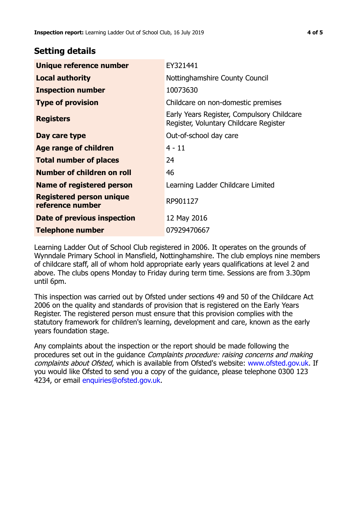# **Setting details**

| Unique reference number                             | EY321441                                                                             |
|-----------------------------------------------------|--------------------------------------------------------------------------------------|
| <b>Local authority</b>                              | Nottinghamshire County Council                                                       |
| <b>Inspection number</b>                            | 10073630                                                                             |
| <b>Type of provision</b>                            | Childcare on non-domestic premises                                                   |
| <b>Registers</b>                                    | Early Years Register, Compulsory Childcare<br>Register, Voluntary Childcare Register |
| Day care type                                       | Out-of-school day care                                                               |
| Age range of children                               | $4 - 11$                                                                             |
| <b>Total number of places</b>                       | 24                                                                                   |
| Number of children on roll                          | 46                                                                                   |
| Name of registered person                           | Learning Ladder Childcare Limited                                                    |
| <b>Registered person unique</b><br>reference number | RP901127                                                                             |
| Date of previous inspection                         | 12 May 2016                                                                          |
| <b>Telephone number</b>                             | 07929470667                                                                          |

Learning Ladder Out of School Club registered in 2006. It operates on the grounds of Wynndale Primary School in Mansfield, Nottinghamshire. The club employs nine members of childcare staff, all of whom hold appropriate early years qualifications at level 2 and above. The clubs opens Monday to Friday during term time. Sessions are from 3.30pm until 6pm.

This inspection was carried out by Ofsted under sections 49 and 50 of the Childcare Act 2006 on the quality and standards of provision that is registered on the Early Years Register. The registered person must ensure that this provision complies with the statutory framework for children's learning, development and care, known as the early years foundation stage.

Any complaints about the inspection or the report should be made following the procedures set out in the guidance Complaints procedure: raising concerns and making complaints about Ofsted, which is available from Ofsted's website: www.ofsted.gov.uk. If you would like Ofsted to send you a copy of the guidance, please telephone 0300 123 4234, or email [enquiries@ofsted.gov.uk.](mailto:enquiries@ofsted.gov.uk)